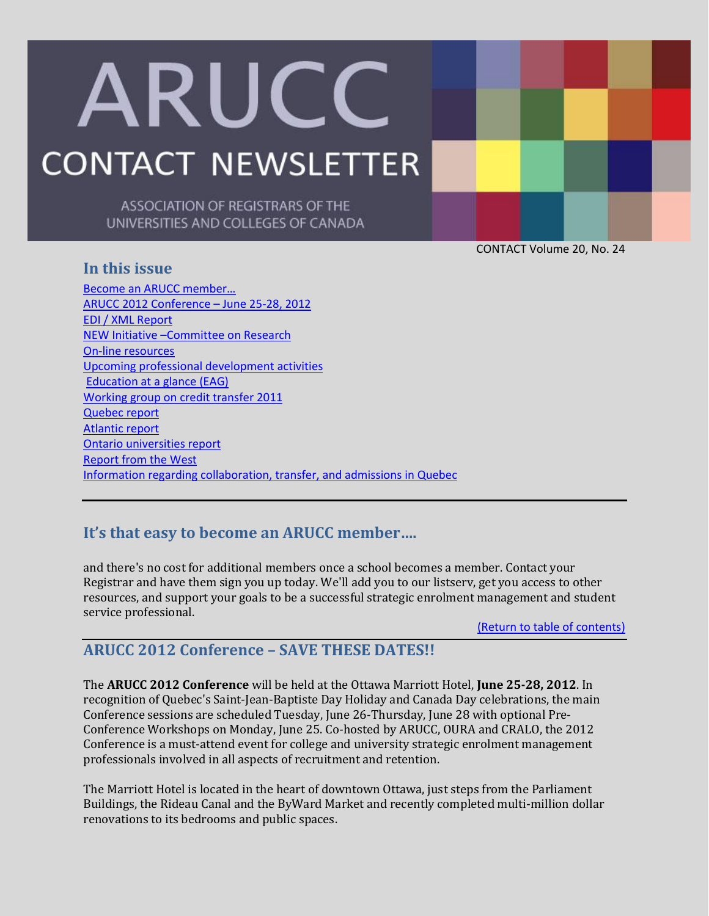# ARUCC **CONTACT NEWSLETTER**

ASSOCIATION OF REGISTRARS OF THE UNIVERSITIES AND COLLEGES OF CANADA

CONTACT Volume 20, No. 24

## <span id="page-0-2"></span>**In this issue**

[Become an ARUCC member…](#page-0-0) [ARUCC 2012 Conference](#page-0-1) – June 25-28, 2012 [EDI / XML Report](#page-1-0) NEW Initiative –[Committee on Research](#page-4-0) [On-line resources](#page-5-0) [Upcoming professional development activities](#page-5-1) [Education at a glance \(EAG\)](#page-5-2) [Working group on credit transfer 2011](#page-6-0) [Quebec report](#page-7-0) [Atlantic report](#page-0-2) [Ontario universities report](#page-11-0) [Report from the West](#page-13-0) [Information regarding collaboration, transfer, and admissions in Quebec](#page-15-0)

# <span id="page-0-0"></span>**It's that easy to become an ARUCC member….**

and there's no cost for additional members once a school becomes a member. Contact your Registrar and have them sign you up today. We'll add you to our listserv, get you access to other resources, and support your goals to be a successful strategic enrolment management and student service professional.

[\(Return to table of contents\)](#page-0-2)

# <span id="page-0-1"></span>**ARUCC 2012 Conference – SAVE THESE DATES!!**

The **ARUCC 2012 Conference** will be held at the Ottawa Marriott Hotel, **June 25-28, 2012**. In recognition of Quebec's Saint-Jean-Baptiste Day Holiday and Canada Day celebrations, the main Conference sessions are scheduled Tuesday, June 26-Thursday, June 28 with optional Pre-Conference Workshops on Monday, June 25. Co-hosted by ARUCC, OURA and CRALO, the 2012 Conference is a must-attend event for college and university strategic enrolment management professionals involved in all aspects of recruitment and retention.

The Marriott Hotel is located in the heart of downtown Ottawa, just steps from the Parliament Buildings, the Rideau Canal and the ByWard Market and recently completed multi-million dollar renovations to its bedrooms and public spaces.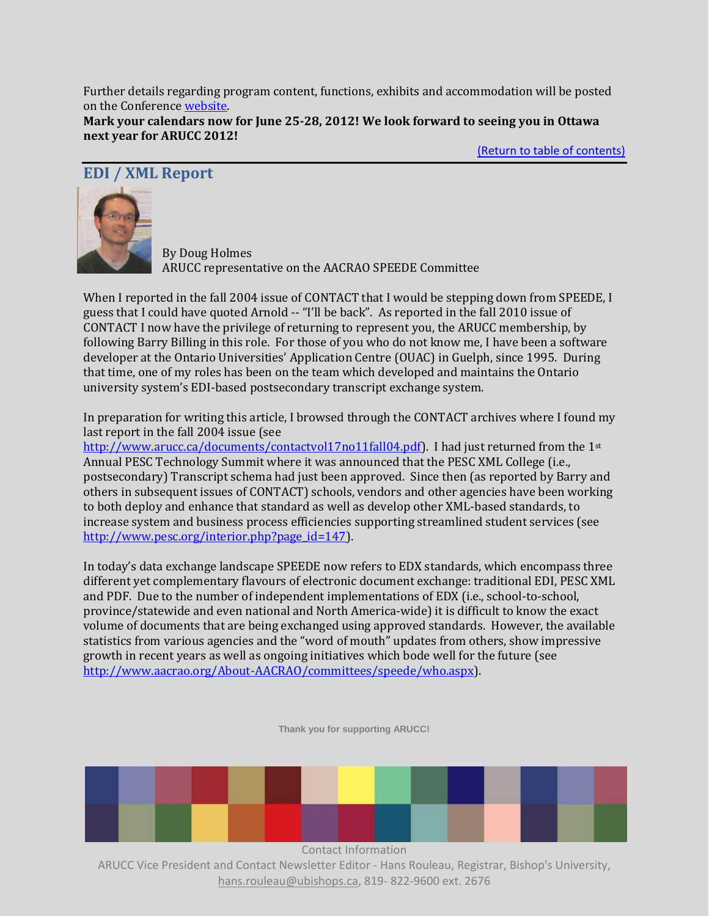Further details regarding program content, functions, exhibits and accommodation will be posted on the Conferenc[e website.](http://www.arucc.com/conferences/arucc2012/)  **Mark your calendars now for June 25-28, 2012! We look forward to seeing you in Ottawa next year for ARUCC 2012!**

[\(Return to table of contents\)](#page-0-2)

## <span id="page-1-0"></span>**EDI / XML Report**



By Doug Holmes ARUCC representative on the AACRAO SPEEDE Committee

When I reported in the fall 2004 issue of CONTACT that I would be stepping down from SPEEDE, I guess that I could have quoted Arnold -- "I'll be back". As reported in the fall 2010 issue of CONTACT I now have the privilege of returning to represent you, the ARUCC membership, by following Barry Billing in this role. For those of you who do not know me, I have been a software developer at the Ontario Universities' Application Centre (OUAC) in Guelph, since 1995. During that time, one of my roles has been on the team which developed and maintains the Ontario university system's EDI-based postsecondary transcript exchange system.

In preparation for writing this article, I browsed through the CONTACT archives where I found my last report in the fall 2004 issue (see

[http://www.arucc.ca/documents/contactvol17no11fall04.pdf\)](http://www.arucc.ca/documents/contactvol17no11fall04.pdf). I had just returned from the 1st Annual PESC Technology Summit where it was announced that the PESC XML College (i.e., postsecondary) Transcript schema had just been approved. Since then (as reported by Barry and others in subsequent issues of CONTACT) schools, vendors and other agencies have been working to both deploy and enhance that standard as well as develop other XML-based standards, to increase system and business process efficiencies supporting streamlined student services (see [http://www.pesc.org/interior.php?page\\_id=147\)](http://www.pesc.org/interior.php?page_id=147).

In today's data exchange landscape SPEEDE now refers to EDX standards, which encompass three different yet complementary flavours of electronic document exchange: traditional EDI, PESC XML and PDF. Due to the number of independent implementations of EDX (i.e., school-to-school, province/statewide and even national and North America-wide) it is difficult to know the exact volume of documents that are being exchanged using approved standards. However, the available statistics from various agencies and the "word of mouth" updates from others, show impressive growth in recent years as well as ongoing initiatives which bode well for the future (see [http://www.aacrao.org/About-AACRAO/committees/speede/who.aspx\)](http://www.aacrao.org/About-AACRAO/committees/speede/who.aspx).

**Thank you for supporting ARUCC!**

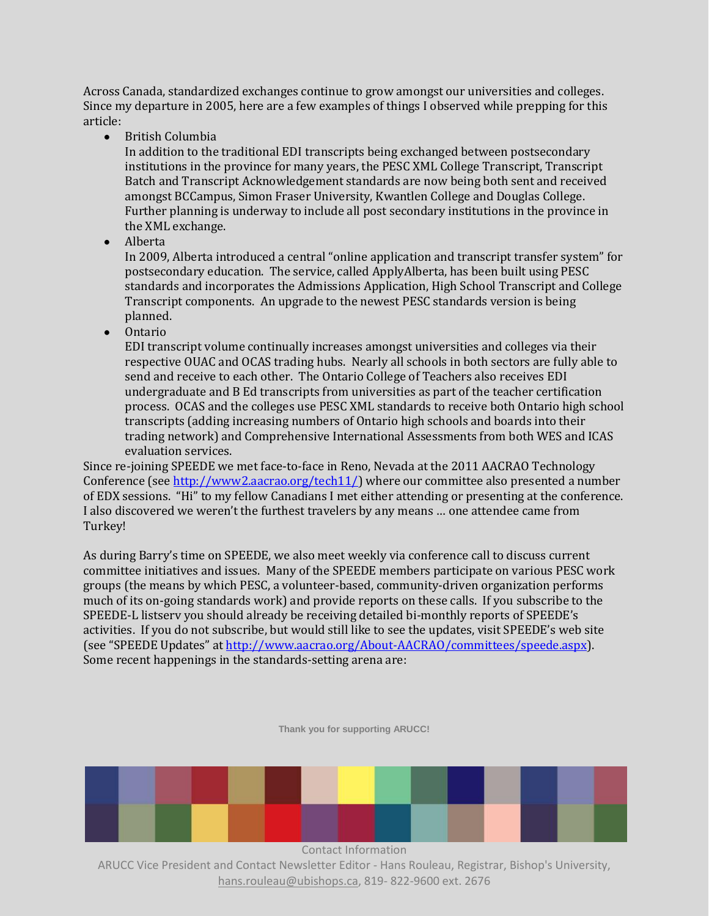Across Canada, standardized exchanges continue to grow amongst our universities and colleges. Since my departure in 2005, here are a few examples of things I observed while prepping for this article:

British Columbia

In addition to the traditional EDI transcripts being exchanged between postsecondary institutions in the province for many years, the PESC XML College Transcript, Transcript Batch and Transcript Acknowledgement standards are now being both sent and received amongst BCCampus, Simon Fraser University, Kwantlen College and Douglas College. Further planning is underway to include all post secondary institutions in the province in the XML exchange.

 $\bullet$ Alberta

In 2009, Alberta introduced a central "online application and transcript transfer system" for postsecondary education. The service, called ApplyAlberta, has been built using PESC standards and incorporates the Admissions Application, High School Transcript and College Transcript components. An upgrade to the newest PESC standards version is being planned.

• Ontario

EDI transcript volume continually increases amongst universities and colleges via their respective OUAC and OCAS trading hubs. Nearly all schools in both sectors are fully able to send and receive to each other. The Ontario College of Teachers also receives EDI undergraduate and B Ed transcripts from universities as part of the teacher certification process. OCAS and the colleges use PESC XML standards to receive both Ontario high school transcripts (adding increasing numbers of Ontario high schools and boards into their trading network) and Comprehensive International Assessments from both WES and ICAS evaluation services.

Since re-joining SPEEDE we met face-to-face in Reno, Nevada at the 2011 AACRAO Technology Conference (se[e http://www2.aacrao.org/tech11/\)](http://www2.aacrao.org/tech11/) where our committee also presented a number of EDX sessions. "Hi" to my fellow Canadians I met either attending or presenting at the conference. I also discovered we weren't the furthest travelers by any means … one attendee came from Turkey!

As during Barry's time on SPEEDE, we also meet weekly via conference call to discuss current committee initiatives and issues. Many of the SPEEDE members participate on various PESC work groups (the means by which PESC, a volunteer-based, community-driven organization performs much of its on-going standards work) and provide reports on these calls. If you subscribe to the SPEEDE-L listserv you should already be receiving detailed bi-monthly reports of SPEEDE's activities. If you do not subscribe, but would still like to see the updates, visit SPEEDE's web site (see "SPEEDE Updates" at [http://www.aacrao.org/About-AACRAO/committees/speede.aspx\)](http://www.aacrao.org/About-AACRAO/committees/speede.aspx). Some recent happenings in the standards-setting arena are:

**Thank you for supporting ARUCC!**

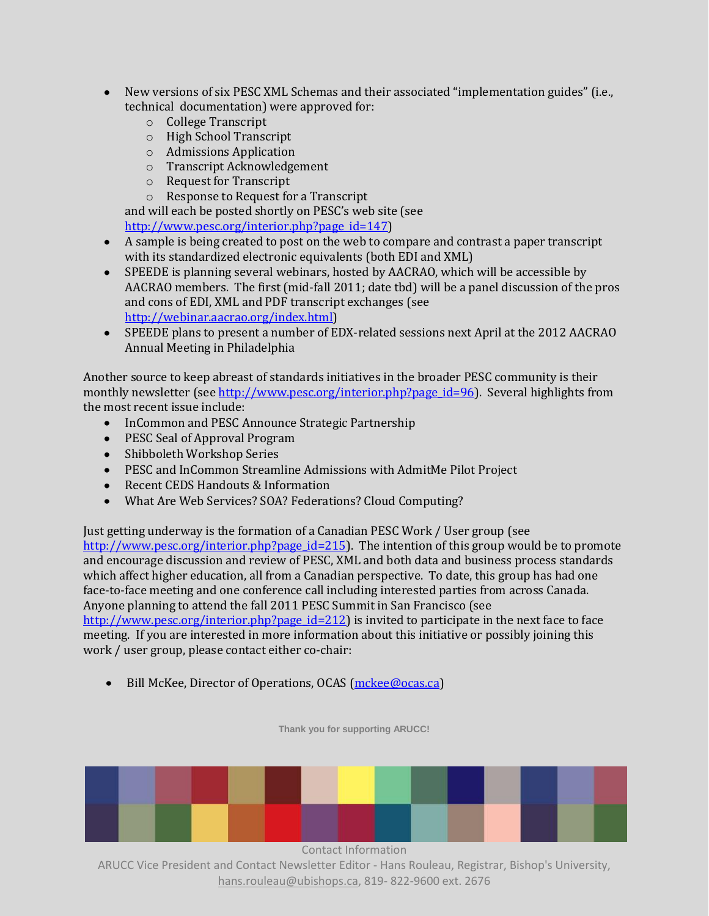- New versions of six PESC XML Schemas and their associated "implementation guides" (i.e.,  $\bullet$ technical documentation) were approved for:
	- o College Transcript
	- o High School Transcript
	- o Admissions Application
	- o Transcript Acknowledgement
	- o Request for Transcript
	- o Response to Request for a Transcript

and will each be posted shortly on PESC's web site (see [http://www.pesc.org/interior.php?page\\_id=147\)](http://www.pesc.org/interior.php?page_id=147)

- A sample is being created to post on the web to compare and contrast a paper transcript with its standardized electronic equivalents (both EDI and XML)
- SPEEDE is planning several webinars, hosted by AACRAO, which will be accessible by AACRAO members. The first (mid-fall 2011; date tbd) will be a panel discussion of the pros and cons of EDI, XML and PDF transcript exchanges (see [http://webinar.aacrao.org/index.html\)](http://webinar.aacrao.org/index.html)
- SPEEDE plans to present a number of EDX-related sessions next April at the 2012 AACRAO Annual Meeting in Philadelphia

Another source to keep abreast of standards initiatives in the broader PESC community is their monthly newsletter (see [http://www.pesc.org/interior.php?page\\_id=96\)](http://www.pesc.org/interior.php?page_id=96). Several highlights from the most recent issue include:

- InCommon and PESC Announce Strategic Partnership
- PESC Seal of Approval Program
- Shibboleth Workshop Series
- PESC and InCommon Streamline Admissions with AdmitMe Pilot Project
- Recent CEDS Handouts & Information
- What Are Web Services? SOA? Federations? Cloud Computing?

Just getting underway is the formation of a Canadian PESC Work / User group (see [http://www.pesc.org/interior.php?page\\_id=215\)](http://www.pesc.org/interior.php?page_id=215). The intention of this group would be to promote and encourage discussion and review of PESC, XML and both data and business process standards which affect higher education, all from a Canadian perspective. To date, this group has had one face-to-face meeting and one conference call including interested parties from across Canada. Anyone planning to attend the fall 2011 PESC Summit in San Francisco (see [http://www.pesc.org/interior.php?page\\_id=212\)](http://www.pesc.org/interior.php?page_id=212) is invited to participate in the next face to face meeting. If you are interested in more information about this initiative or possibly joining this work / user group, please contact either co-chair:

Bill McKee, Director of Operations, OCAS [\(mckee@ocas.ca\)](mailto:mckee@ocas.ca)

**Thank you for supporting ARUCC!**



Contact Information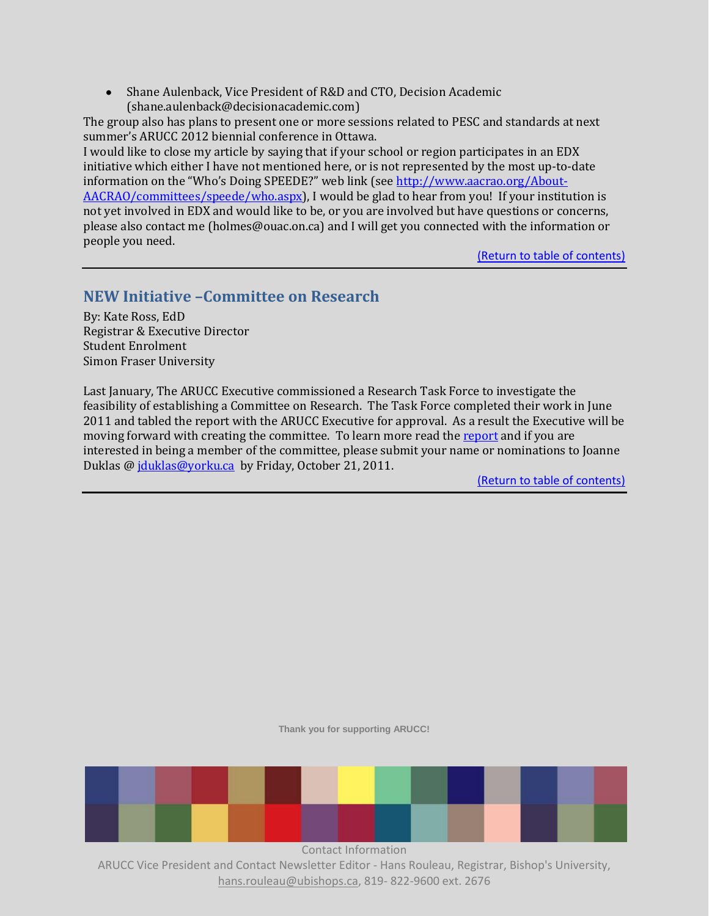Shane Aulenback, Vice President of R&D and CTO, Decision Academic [\(shane.aulenback@decisionacademic.com\)](mailto:shane.aulenback@decisionacademic.com)

The group also has plans to present one or more sessions related to PESC and standards at next summer's ARUCC 2012 biennial conference in Ottawa.

I would like to close my article by saying that if your school or region participates in an EDX initiative which either I have not mentioned here, or is not represented by the most up-to-date information on the "Who's Doing SPEEDE?" web link (see [http://www.aacrao.org/About-](http://www.aacrao.org/About-AACRAO/committees/speede/who.aspx)[AACRAO/committees/speede/who.aspx\)](http://www.aacrao.org/About-AACRAO/committees/speede/who.aspx), I would be glad to hear from you! If your institution is not yet involved in EDX and would like to be, or you are involved but have questions or concerns, please also contact me (holmes@ouac.on.ca) and I will get you connected with the information or people you need.

[\(Return to table of contents\)](#page-0-2)

# <span id="page-4-0"></span>**NEW Initiative –Committee on Research**

By: Kate Ross, EdD Registrar & Executive Director Student Enrolment Simon Fraser University

Last January, The ARUCC Executive commissioned a Research Task Force to investigate the feasibility of establishing a Committee on Research. The Task Force completed their work in June 2011 and tabled the report with the ARUCC Executive for approval. As a result the Executive will be moving forward with creating the committee. To learn more read the [report](http://www.arucc.com/documents/Final%20Report%20to%20ARUCC%20Executive%20June%2020%202011%20KR%5b1%5d.docx) and if you are interested in being a member of the committee, please submit your name or nominations to Joanne Duklas @ [jduklas@yorku.ca](mailto:jduklas@yorku.ca) by Friday, October 21, 2011.

[\(Return to table of contents\)](#page-0-2)

**Thank you for supporting ARUCC!**

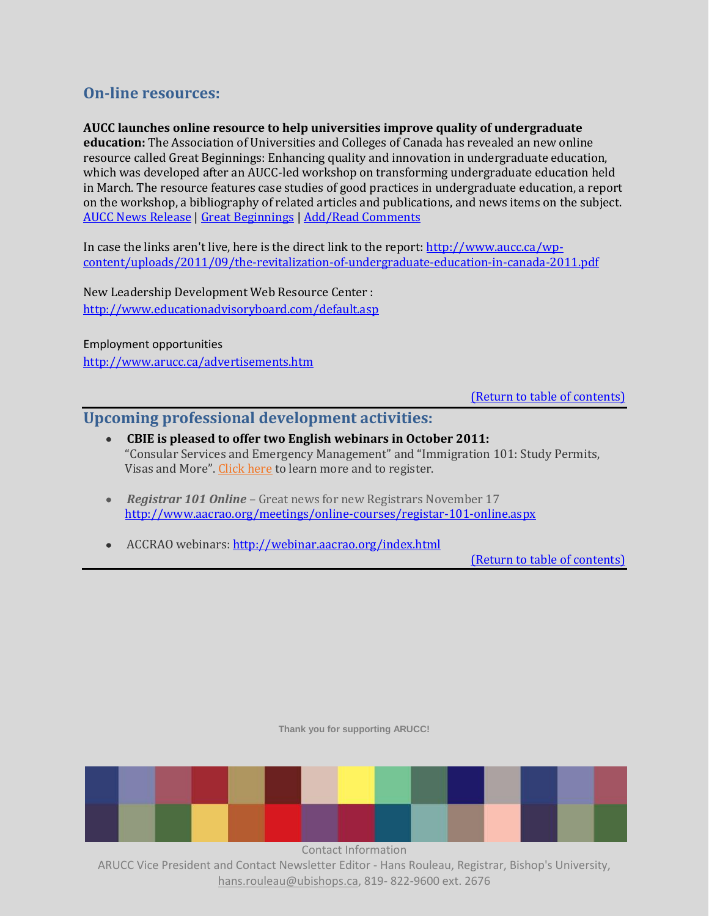# <span id="page-5-0"></span>**On-line resources:**

**AUCC launches online resource to help universities improve quality of undergraduate education:** The Association of Universities and Colleges of Canada has revealed an new online resource called Great Beginnings: Enhancing quality and innovation in undergraduate education, which was developed after an AUCC-led workshop on transforming undergraduate education held in March. The resource features case studies of good practices in undergraduate education, a report on the workshop, a bibliography of related articles and publications, and news items on the subject. [AUCC News Release](http://click.icptrack.com/icp/relay.php?r=1054952562&msgid=31357242&act=BVDM&c=56672&destination=http%3A%2F%2Fwww.aucc.ca%2Fmedia-room%2Fnews-and-commentary%2Fcanadas-universities-committed-to-enhancing-quality-in-undergraduate-education) [| Great Beginnings](http://click.icptrack.com/icp/relay.php?r=1054952562&msgid=31357242&act=BVDM&c=56672&destination=http%3A%2F%2Fwww.aucc.ca%2Fpolicy-issues%2Fundergraduate-education%2F) [| Add/Read Comments](http://click.icptrack.com/icp/relay.php?r=1054952562&msgid=31357242&act=BVDM&c=56672&destination=http%3A%2F%2Fwww.academicagroup.ca%2Ftop10%2Fstories%2F13900)

In case the links aren't live, here is the direct link to the report: [http://www.aucc.ca/wp](http://www.aucc.ca/wp-content/uploads/2011/09/the-revitalization-of-undergraduate-education-in-canada-2011.pdf)[content/uploads/2011/09/the-revitalization-of-undergraduate-education-in-canada-2011.pdf](http://www.aucc.ca/wp-content/uploads/2011/09/the-revitalization-of-undergraduate-education-in-canada-2011.pdf)

New Leadership Development Web Resource Center : <http://www.educationadvisoryboard.com/default.asp>

Employment opportunities <http://www.arucc.ca/advertisements.htm>

[\(Return to table of contents\)](#page-0-2)

## <span id="page-5-1"></span>**Upcoming professional development activities:**

- **CBIE is pleased to offer two English webinars in October 2011:**  "Consular Services and Emergency Management" and "Immigration 101: Study Permits, Visas and More". [Click here](http://www.cbie.ca/webinars/WebinarMain.html) to learn more and to register.
- *Registrar 101 Online*  Great news for new Registrars November 17 <http://www.aacrao.org/meetings/online-courses/registar-101-online.aspx>
- <span id="page-5-2"></span>• ACCRAO webinars:<http://webinar.aacrao.org/index.html>

[\(Return to table of contents\)](#page-0-2)

**Thank you for supporting ARUCC!**

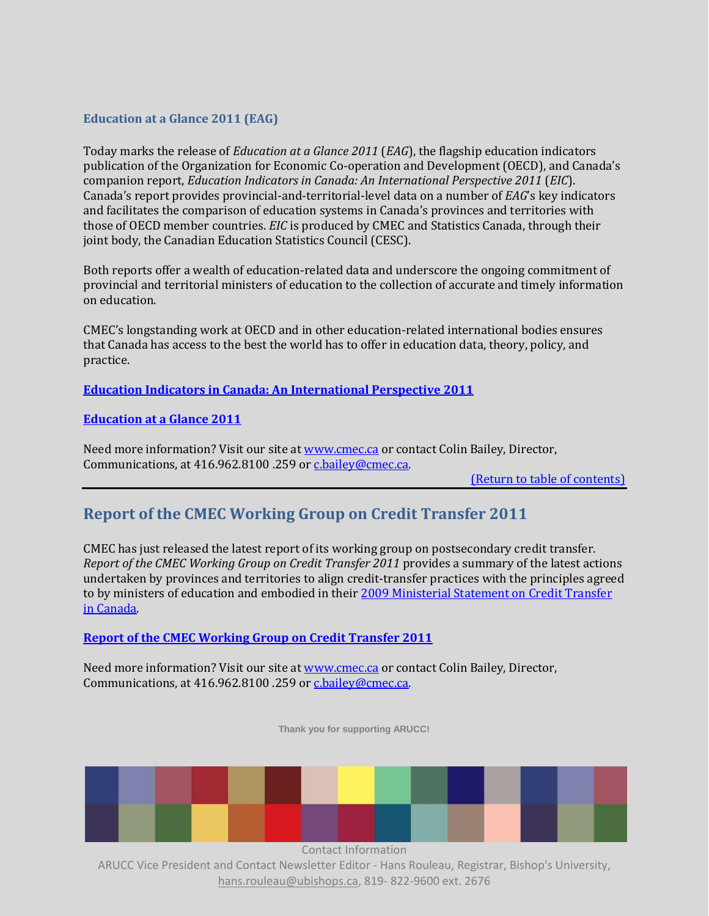#### **Education at a Glance 2011 (EAG)**

Today marks the release of *Education at a Glance 2011* (*EAG*), the flagship education indicators publication of the Organization for Economic Co-operation and Development (OECD), and Canada's companion report, *Education Indicators in Canada: An International Perspective 2011* (*EIC*). Canada's report provides provincial-and-territorial-level data on a number of *EAG*'s key indicators and facilitates the comparison of education systems in Canada's provinces and territories with those of OECD member countries. *EIC* is produced by CMEC and Statistics Canada, through their joint body, the Canadian Education Statistics Council (CESC).

Both reports offer a wealth of education-related data and underscore the ongoing commitment of provincial and territorial ministers of education to the collection of accurate and timely information on education.

CMEC's longstanding work at OECD and in other education-related international bodies ensures that Canada has access to the best the world has to offer in education data, theory, policy, and practice.

**[Education Indicators in Canada: An International Perspective 2011](http://cmec.ca/Publications/Lists/Publications/Attachments/265/education-indicators-canada-international-perspective-2011.pdf)**

**[Education at a Glance 2011](http://www.oecd.org/document/2/0,3746,en_2649_39263238_48634114_1_1_1_1,00.html)**

Need more information? Visit our site a[t www.cmec.ca](http://www.cmec.ca/) or contact Colin Bailey, Director, Communications, at 416.962.8100 .259 or [c.bailey@cmec.ca.](mailto:c.bailey@cmec.ca)

[\(Return to table of contents\)](#page-0-2)

# <span id="page-6-0"></span>**Report of the CMEC Working Group on Credit Transfer 2011**

CMEC has just released the latest report of its working group on postsecondary credit transfer. *Report of the CMEC Working Group on Credit Transfer 2011* provides a summary of the latest actions undertaken by provinces and territories to align credit-transfer practices with the principles agreed to by ministers of education and embodied in thei[r 2009 Ministerial Statement on Credit Transfer](http://www.cmec.ca/Publications/Lists/Publications/Attachments/216/ministerial-statement-credit-transfer-2009.pdf)  [in Canada.](http://www.cmec.ca/Publications/Lists/Publications/Attachments/216/ministerial-statement-credit-transfer-2009.pdf)

#### **[Report of the CMEC Working Group on Credit Transfer 2011](http://cmec.ca/Publications/Lists/Publications/Attachments/264/wgct-report2011-en.pdf)**

Need more information? Visit our site a[t www.cmec.ca](http://www.cmec.ca/) or contact Colin Bailey, Director, Communications, at 416.962.8100 .259 or [c.bailey@cmec.ca.](mailto:c.bailey@cmec.ca)

**Thank you for supporting ARUCC!**



Contact Information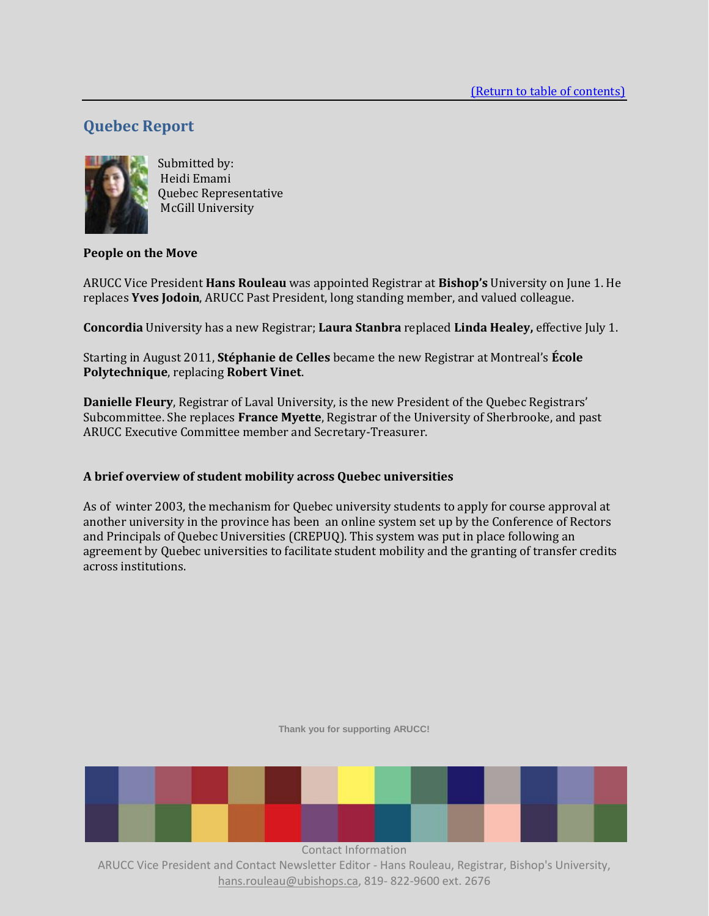# <span id="page-7-0"></span>**Quebec Report**



Submitted by: Heidi Emami Quebec Representative McGill University

#### **People on the Move**

ARUCC Vice President **Hans Rouleau** was appointed Registrar at **Bishop's** University on June 1. He replaces **Yves Jodoin**, ARUCC Past President, long standing member, and valued colleague.

**Concordia** University has a new Registrar; **Laura Stanbra** replaced **Linda Healey,** effective July 1.

Starting in August 2011, **Stéphanie de Celles** became the new Registrar at Montreal's **École Polytechnique**, replacing **Robert Vinet**.

**Danielle Fleury**, Registrar of Laval University, is the new President of the Quebec Registrars' Subcommittee. She replaces **France Myette**, Registrar of the University of Sherbrooke, and past ARUCC Executive Committee member and Secretary-Treasurer.

#### **A brief overview of student mobility across Quebec universities**

As of winter 2003, the mechanism for Quebec university students to apply for course approval at another university in the province has been an online system set up by the Conference of Rectors and Principals of Quebec Universities (CREPUQ). This system was put in place following an agreement by Quebec universities to facilitate student mobility and the granting of transfer credits across institutions.

**Thank you for supporting ARUCC!**

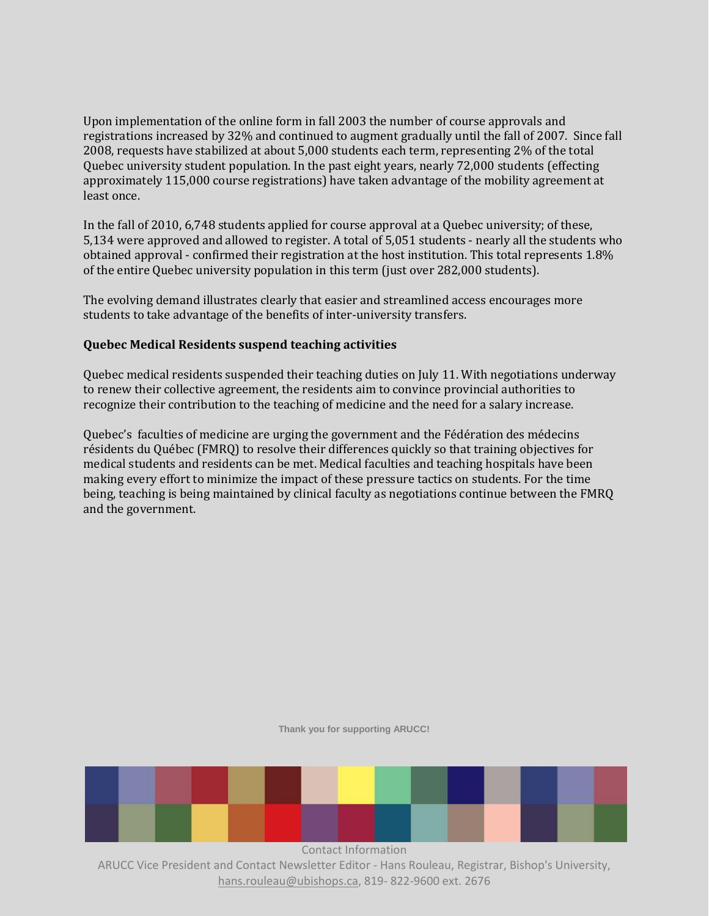Upon implementation of the online form in fall 2003 the number of course approvals and registrations increased by 32% and continued to augment gradually until the fall of 2007. Since fall 2008, requests have stabilized at about 5,000 students each term, representing 2% of the total Quebec university student population. In the past eight years, nearly 72,000 students (effecting approximately 115,000 course registrations) have taken advantage of the mobility agreement at least once.

In the fall of 2010, 6,748 students applied for course approval at a Quebec university; of these, 5,134 were approved and allowed to register. A total of 5,051 students - nearly all the students who obtained approval - confirmed their registration at the host institution. This total represents 1.8% of the entire Quebec university population in this term (just over 282,000 students).

The evolving demand illustrates clearly that easier and streamlined access encourages more students to take advantage of the benefits of inter-university transfers.

#### **Quebec Medical Residents suspend teaching activities**

Quebec medical residents suspended their teaching duties on July 11. With negotiations underway to renew their collective agreement, the residents aim to convince provincial authorities to recognize their contribution to the teaching of medicine and the need for a salary increase.

Quebec's faculties of medicine are urging the government and the Fédération des médecins résidents du Québec (FMRQ) to resolve their differences quickly so that training objectives for medical students and residents can be met. Medical faculties and teaching hospitals have been making every effort to minimize the impact of these pressure tactics on students. For the time being, teaching is being maintained by clinical faculty as negotiations continue between the FMRQ and the government.

#### **Thank you for supporting ARUCC!**

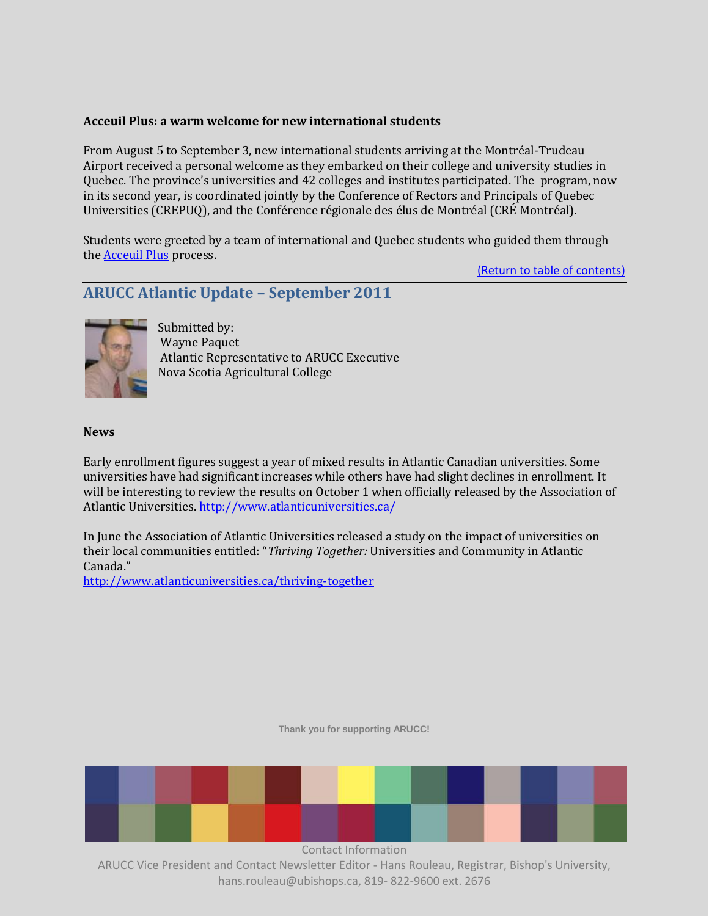#### **Acceuil Plus: a warm welcome for new international students**

From August 5 to September 3, new international students arriving at the Montréal‐Trudeau Airport received a personal welcome as they embarked on their college and university studies in Quebec. The province's universities and 42 colleges and institutes participated. The program, now in its second year, is coordinated jointly by the Conference of Rectors and Principals of Quebec Universities (CREPUQ), and the Conférence régionale des élus de Montréal (CRÉ Montréal).

Students were greeted by a team of international and Quebec students who guided them through th[e Acceuil Plus](http://www.accueilplus.ca/) process.

[\(Return to table of contents\)](#page-0-2)

# **ARUCC Atlantic Update – September 2011**



Submitted by: Wayne Paquet Atlantic Representative to ARUCC Executive Nova Scotia Agricultural College

#### **News**

Early enrollment figures suggest a year of mixed results in Atlantic Canadian universities. Some universities have had significant increases while others have had slight declines in enrollment. It will be interesting to review the results on October 1 when officially released by the Association of Atlantic Universities.<http://www.atlanticuniversities.ca/>

In June the Association of Atlantic Universities released a study on the impact of universities on their local communities entitled: "*Thriving Together:* Universities and Community in Atlantic Canada."

<http://www.atlanticuniversities.ca/thriving-together>

**Thank you for supporting ARUCC!**

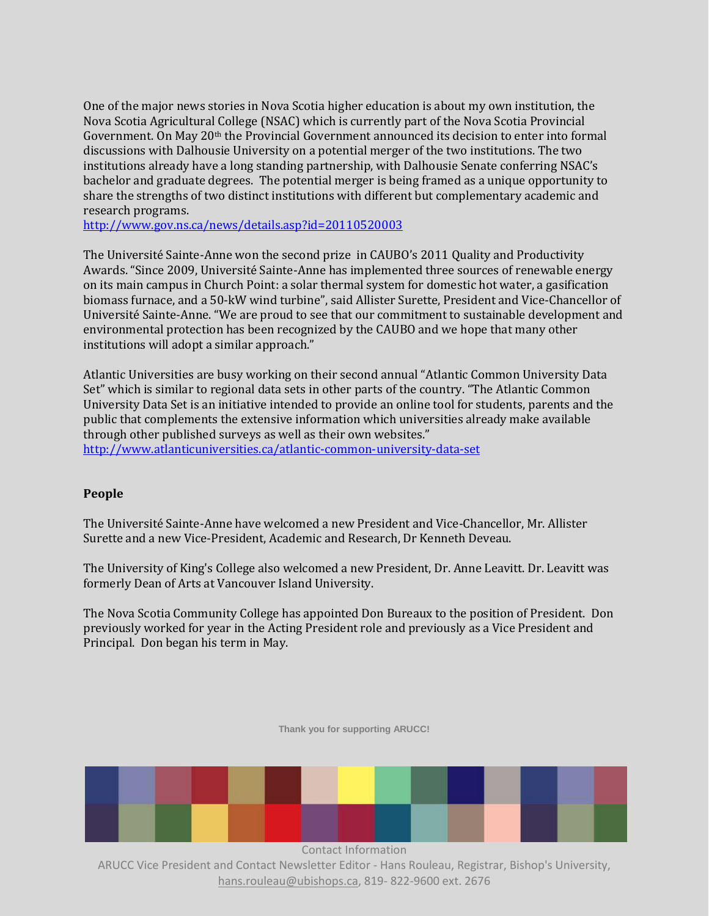One of the major news stories in Nova Scotia higher education is about my own institution, the Nova Scotia Agricultural College (NSAC) which is currently part of the Nova Scotia Provincial Government. On May 20th the Provincial Government announced its decision to enter into formal discussions with Dalhousie University on a potential merger of the two institutions. The two institutions already have a long standing partnership, with Dalhousie Senate conferring NSAC's bachelor and graduate degrees. The potential merger is being framed as a unique opportunity to share the strengths of two distinct institutions with different but complementary academic and research programs.

<http://www.gov.ns.ca/news/details.asp?id=20110520003>

The Université Sainte-Anne won the second prize in CAUBO's 2011 Quality and Productivity Awards. "Since 2009, Université Sainte-Anne has implemented three sources of renewable energy on its main campus in Church Point: a solar thermal system for domestic hot water, a gasification biomass furnace, and a 50-kW wind turbine", said Allister Surette, President and Vice-Chancellor of Université Sainte-Anne. "We are proud to see that our commitment to sustainable development and environmental protection has been recognized by the CAUBO and we hope that many other institutions will adopt a similar approach."

Atlantic Universities are busy working on their second annual "Atlantic Common University Data Set" which is similar to regional data sets in other parts of the country. "The Atlantic Common University Data Set is an initiative intended to provide an online tool for students, parents and the public that complements the extensive information which universities already make available through other published surveys as well as their own websites."

<http://www.atlanticuniversities.ca/atlantic-common-university-data-set>

#### **People**

The Université Sainte-Anne have welcomed a new President and Vice-Chancellor, Mr. Allister Surette and a new Vice-President, Academic and Research, Dr Kenneth Deveau.

The University of King's College also welcomed a new President, Dr. Anne Leavitt. Dr. Leavitt was formerly Dean of Arts at Vancouver Island University.

The Nova Scotia Community College has appointed Don Bureaux to the position of President. Don previously worked for year in the Acting President role and previously as a Vice President and Principal. Don began his term in May.

**Thank you for supporting ARUCC!**

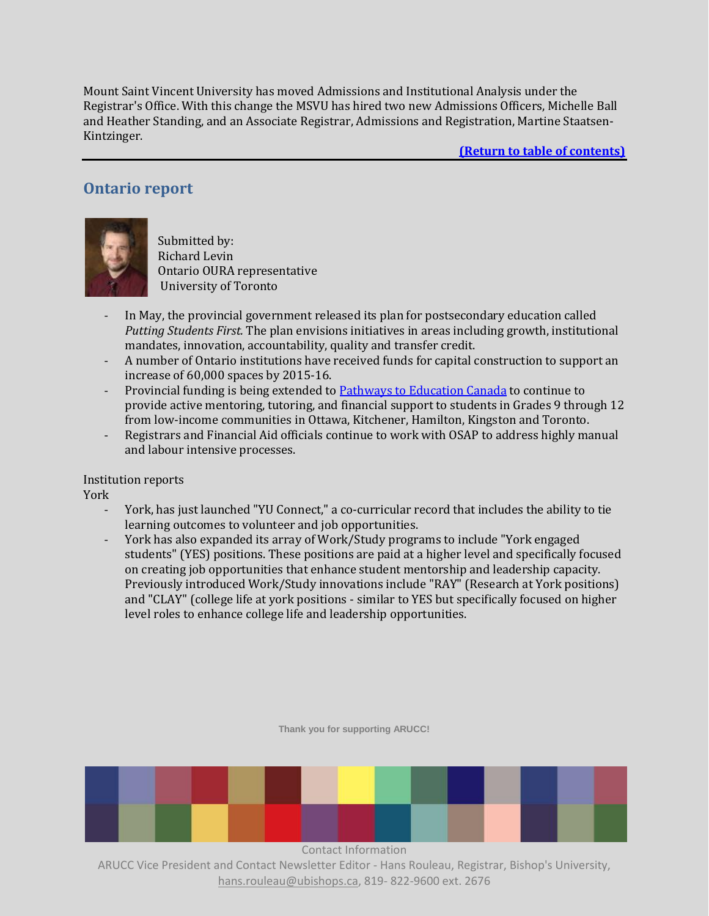Mount Saint Vincent University has moved Admissions and Institutional Analysis under the Registrar's Office. With this change the MSVU has hired two new Admissions Officers, Michelle Ball and Heather Standing, and an Associate Registrar, Admissions and Registration, Martine Staatsen-Kintzinger.

**[\(Return to table of contents\)](#page-0-2)**

# <span id="page-11-0"></span>**Ontario report**



Submitted by: Richard Levin Ontario OURA representative University of Toronto

- In May, the provincial government released its plan for postsecondary education called *Putting Students First.* The plan envisions initiatives in areas including growth, institutional mandates, innovation, accountability, quality and transfer credit.
- A number of Ontario institutions have received funds for capital construction to support an increase of 60,000 spaces by 2015-16.
- Provincial funding is being extended to [Pathways to Education Canada](http://www.pathwaystoeducation.ca/home.html) to continue to provide active mentoring, tutoring, and financial support to students in Grades 9 through 12 from low-income communities in Ottawa, Kitchener, Hamilton, Kingston and Toronto.
- Registrars and Financial Aid officials continue to work with OSAP to address highly manual and labour intensive processes.

Institution reports

York

- York, has just launched "YU Connect," a co-curricular record that includes the ability to tie learning outcomes to volunteer and job opportunities.
- York has also expanded its array of Work/Study programs to include "York engaged students" (YES) positions. These positions are paid at a higher level and specifically focused on creating job opportunities that enhance student mentorship and leadership capacity. Previously introduced Work/Study innovations include "RAY" (Research at York positions) and "CLAY" (college life at york positions - similar to YES but specifically focused on higher level roles to enhance college life and leadership opportunities.

**Thank you for supporting ARUCC!**

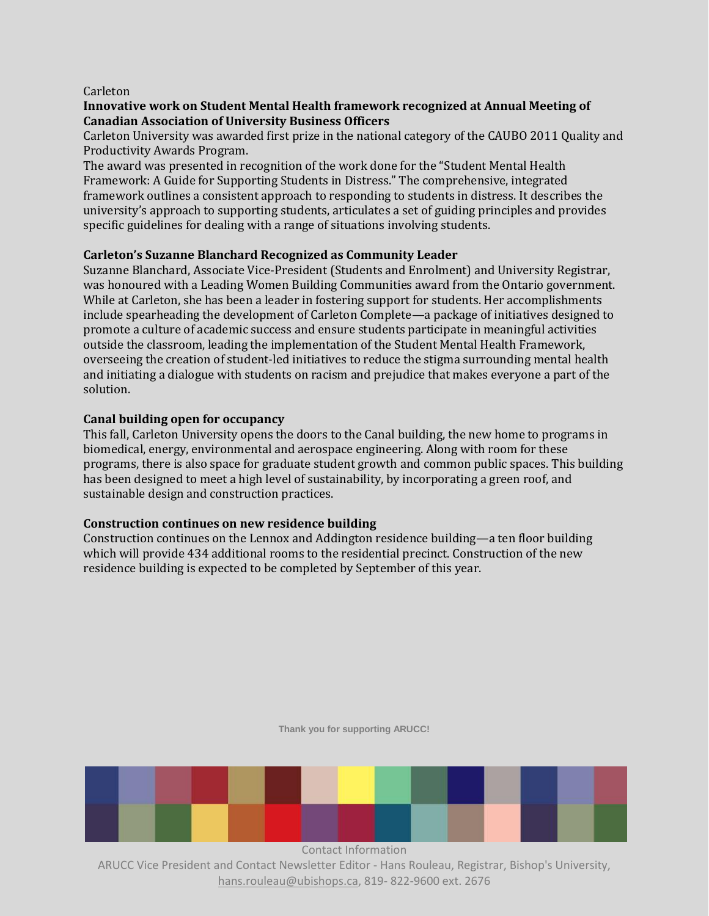#### Carleton

#### **Innovative work on Student Mental Health framework recognized at Annual Meeting of Canadian Association of University Business Officers**

Carleton University was awarded first prize in the national category of the CAUBO 2011 Quality and Productivity Awards Program.

The award was presented in recognition of the work done for the "Student Mental Health Framework: A Guide for Supporting Students in Distress." The comprehensive, integrated framework outlines a consistent approach to responding to students in distress. It describes the university's approach to supporting students, articulates a set of guiding principles and provides specific guidelines for dealing with a range of situations involving students.

#### **Carleton's Suzanne Blanchard Recognized as Community Leader**

Suzanne Blanchard, Associate Vice-President (Students and Enrolment) and University Registrar, was honoured with a Leading Women Building Communities award from the Ontario government. While at Carleton, she has been a leader in fostering support for students. Her accomplishments include spearheading the development of Carleton Complete—a package of initiatives designed to promote a culture of academic success and ensure students participate in meaningful activities outside the classroom, leading the implementation of the Student Mental Health Framework, overseeing the creation of student-led initiatives to reduce the stigma surrounding mental health and initiating a dialogue with students on racism and prejudice that makes everyone a part of the solution.

#### **Canal building open for occupancy**

This fall, Carleton University opens the doors to the Canal building, the new home to programs in biomedical, energy, environmental and aerospace engineering. Along with room for these programs, there is also space for graduate student growth and common public spaces. This building has been designed to meet a high level of sustainability, by incorporating a green roof, and sustainable design and construction practices.

#### **Construction continues on new residence building**

Construction continues on the Lennox and Addington residence building—a ten floor building which will provide 434 additional rooms to the residential precinct. Construction of the new residence building is expected to be completed by September of this year.

**Thank you for supporting ARUCC!**

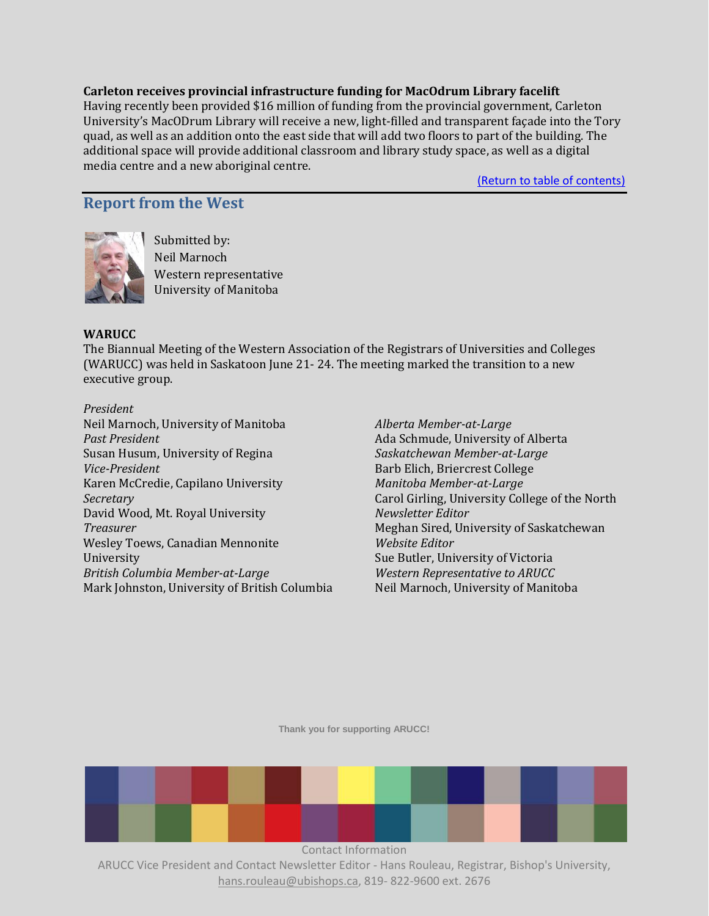#### **Carleton receives provincial infrastructure funding for MacOdrum Library facelift**

Having recently been provided \$16 million of funding from the provincial government, Carleton University's MacODrum Library will receive a new, light-filled and transparent façade into the Tory quad, as well as an addition onto the east side that will add two floors to part of the building. The additional space will provide additional classroom and library study space, as well as a digital media centre and a new aboriginal centre.

[\(Return to table of contents\)](#page-0-2)

# <span id="page-13-0"></span>**Report from the West**



Submitted by: Neil Marnoch Western representative University of Manitoba

#### **WARUCC**

The Biannual Meeting of the Western Association of the Registrars of Universities and Colleges (WARUCC) was held in Saskatoon June 21- 24. The meeting marked the transition to a new executive group.

#### *President*

Neil Marnoch, University of Manitoba *Past President* Susan Husum, University of Regina *Vice-President* Karen McCredie, Capilano University *Secretary* David Wood, Mt. Royal University *Treasurer* Wesley Toews, Canadian Mennonite University *British Columbia Member-at-Large* Mark Johnston, University of British Columbia

*Alberta Member-at-Large* Ada Schmude, University of Alberta *Saskatchewan Member-at-Large* Barb Elich, Briercrest College *Manitoba Member-at-Large* Carol Girling, University College of the North *Newsletter Editor* Meghan Sired, University of Saskatchewan *Website Editor* Sue Butler, University of Victoria *Western Representative to ARUCC* Neil Marnoch, University of Manitoba

**Thank you for supporting ARUCC!**

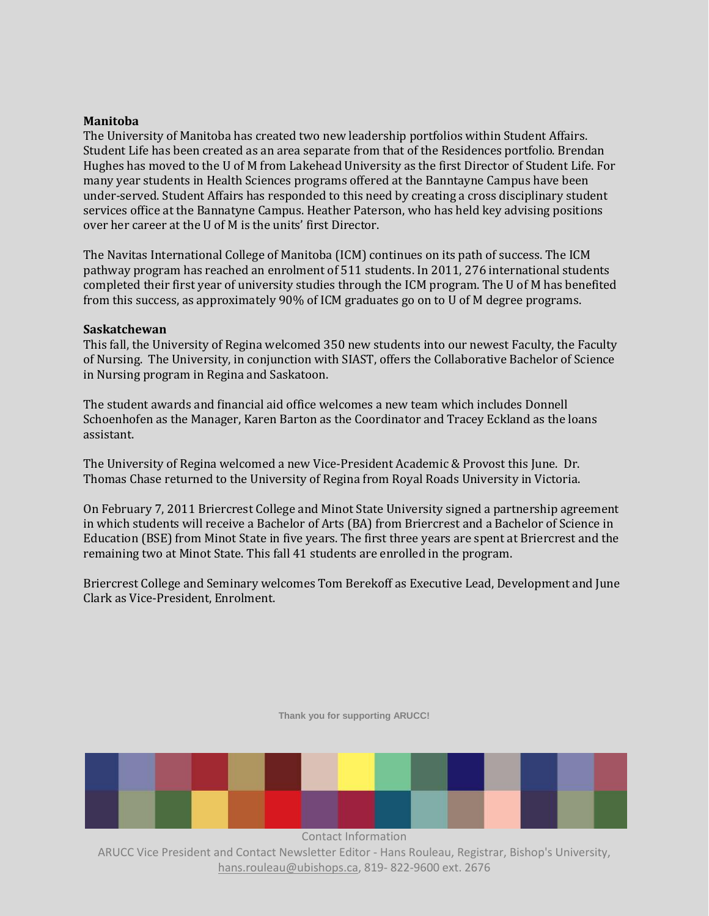#### **Manitoba**

The University of Manitoba has created two new leadership portfolios within Student Affairs. Student Life has been created as an area separate from that of the Residences portfolio. Brendan Hughes has moved to the U of M from Lakehead University as the first Director of Student Life. For many year students in Health Sciences programs offered at the Banntayne Campus have been under-served. Student Affairs has responded to this need by creating a cross disciplinary student services office at the Bannatyne Campus. Heather Paterson, who has held key advising positions over her career at the U of M is the units' first Director.

The Navitas International College of Manitoba (ICM) continues on its path of success. The ICM pathway program has reached an enrolment of 511 students. In 2011, 276 international students completed their first year of university studies through the ICM program. The U of M has benefited from this success, as approximately 90% of ICM graduates go on to U of M degree programs.

#### **Saskatchewan**

This fall, the University of Regina welcomed 350 new students into our newest Faculty, the Faculty of Nursing. The University, in conjunction with SIAST, offers the Collaborative Bachelor of Science in Nursing program in Regina and Saskatoon.

The student awards and financial aid office welcomes a new team which includes Donnell Schoenhofen as the Manager, Karen Barton as the Coordinator and Tracey Eckland as the loans assistant.

The University of Regina welcomed a new Vice-President Academic & Provost this June. Dr. Thomas Chase returned to the University of Regina from Royal Roads University in Victoria.

On February 7, 2011 Briercrest College and Minot State University signed a partnership agreement in which students will receive a Bachelor of Arts (BA) from Briercrest and a Bachelor of Science in Education (BSE) from Minot State in five years. The first three years are spent at Briercrest and the remaining two at Minot State. This fall 41 students are enrolled in the program.

Briercrest College and Seminary welcomes Tom Berekoff as Executive Lead, Development and June Clark as Vice-President, Enrolment.



**Thank you for supporting ARUCC!**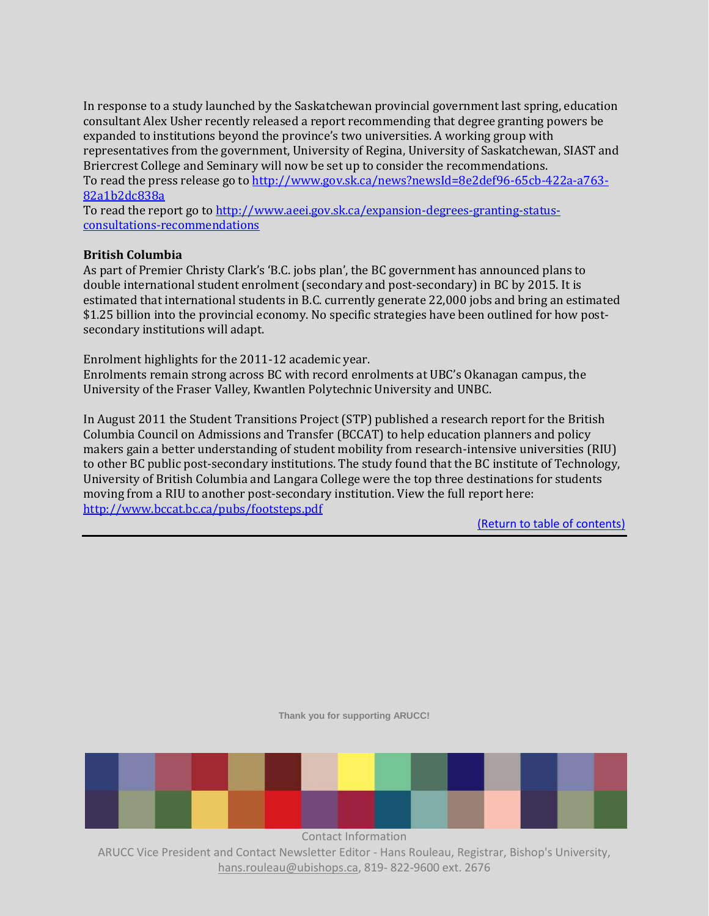In response to a study launched by the Saskatchewan provincial government last spring, education consultant Alex Usher recently released a report recommending that degree granting powers be expanded to institutions beyond the province's two universities. A working group with representatives from the government, University of Regina, University of Saskatchewan, SIAST and Briercrest College and Seminary will now be set up to consider the recommendations. To read the press release go to [http://www.gov.sk.ca/news?newsId=8e2def96-65cb-422a-a763-](http://www.gov.sk.ca/news?newsId=8e2def96-65cb-422a-a763-82a1b2dc838a) [82a1b2dc838a](http://www.gov.sk.ca/news?newsId=8e2def96-65cb-422a-a763-82a1b2dc838a)

To read the report go t[o http://www.aeei.gov.sk.ca/expansion-degrees-granting-status](http://www.aeei.gov.sk.ca/expansion-degrees-granting-status-consultations-recommendations)[consultations-recommendations](http://www.aeei.gov.sk.ca/expansion-degrees-granting-status-consultations-recommendations)

#### **British Columbia**

As part of Premier Christy Clark's 'B.C. jobs plan', the BC government has announced plans to double international student enrolment (secondary and post-secondary) in BC by 2015. It is estimated that international students in B.C. currently generate 22,000 jobs and bring an estimated \$1.25 billion into the provincial economy. No specific strategies have been outlined for how postsecondary institutions will adapt.

Enrolment highlights for the 2011-12 academic year.

Enrolments remain strong across BC with record enrolments at UBC's Okanagan campus, the University of the Fraser Valley, Kwantlen Polytechnic University and UNBC.

<span id="page-15-0"></span>In August 2011 the Student Transitions Project (STP) published a research report for the British Columbia Council on Admissions and Transfer (BCCAT) to help education planners and policy makers gain a better understanding of student mobility from research-intensive universities (RIU) to other BC public post-secondary institutions. The study found that the BC institute of Technology, University of British Columbia and Langara College were the top three destinations for students moving from a RIU to another post-secondary institution. View the full report here: <http://www.bccat.bc.ca/pubs/footsteps.pdf>

[\(Return to table of contents\)](#page-0-2)

**Thank you for supporting ARUCC!**

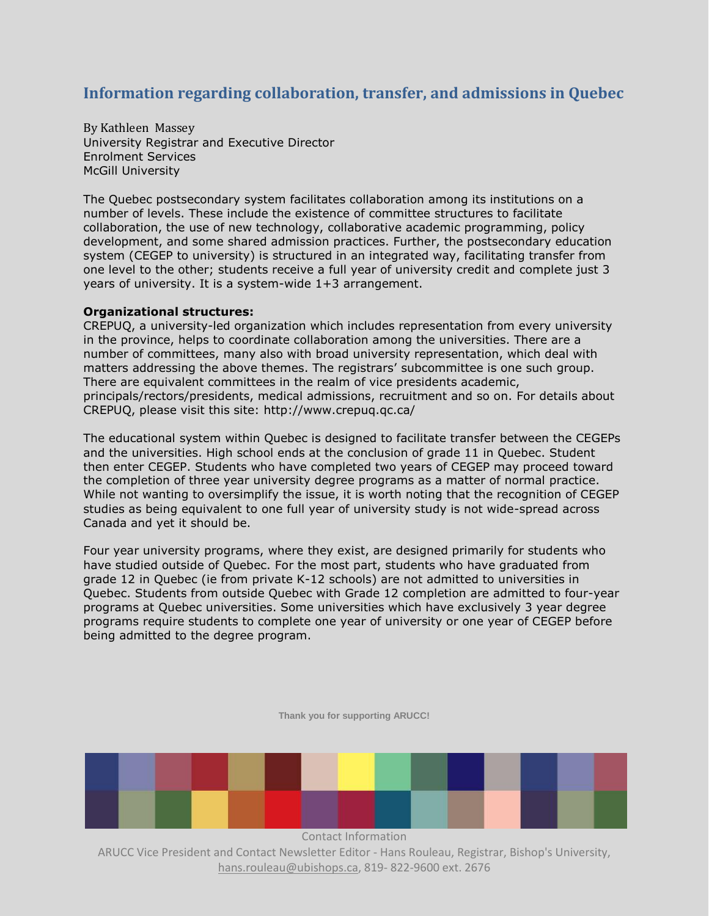# **Information regarding collaboration, transfer, and admissions in Quebec**

By Kathleen Massey University Registrar and Executive Director Enrolment Services McGill University

The Quebec postsecondary system facilitates collaboration among its institutions on a number of levels. These include the existence of committee structures to facilitate collaboration, the use of new technology, collaborative academic programming, policy development, and some shared admission practices. Further, the postsecondary education system (CEGEP to university) is structured in an integrated way, facilitating transfer from one level to the other; students receive a full year of university credit and complete just 3 years of university. It is a system-wide 1+3 arrangement.

#### **Organizational structures:**

CREPUQ, a university-led organization which includes representation from every university in the province, helps to coordinate collaboration among the universities. There are a number of committees, many also with broad university representation, which deal with matters addressing the above themes. The registrars' subcommittee is one such group. There are equivalent committees in the realm of vice presidents academic, principals/rectors/presidents, medical admissions, recruitment and so on. For details about CREPUQ, please visit this site: http://www.crepuq.qc.ca/

The educational system within Quebec is designed to facilitate transfer between the CEGEPs and the universities. High school ends at the conclusion of grade 11 in Quebec. Student then enter CEGEP. Students who have completed two years of CEGEP may proceed toward the completion of three year university degree programs as a matter of normal practice. While not wanting to oversimplify the issue, it is worth noting that the recognition of CEGEP studies as being equivalent to one full year of university study is not wide-spread across Canada and yet it should be.

Four year university programs, where they exist, are designed primarily for students who have studied outside of Quebec. For the most part, students who have graduated from grade 12 in Quebec (ie from private K-12 schools) are not admitted to universities in Quebec. Students from outside Quebec with Grade 12 completion are admitted to four-year programs at Quebec universities. Some universities which have exclusively 3 year degree programs require students to complete one year of university or one year of CEGEP before being admitted to the degree program.

**Thank you for supporting ARUCC!**

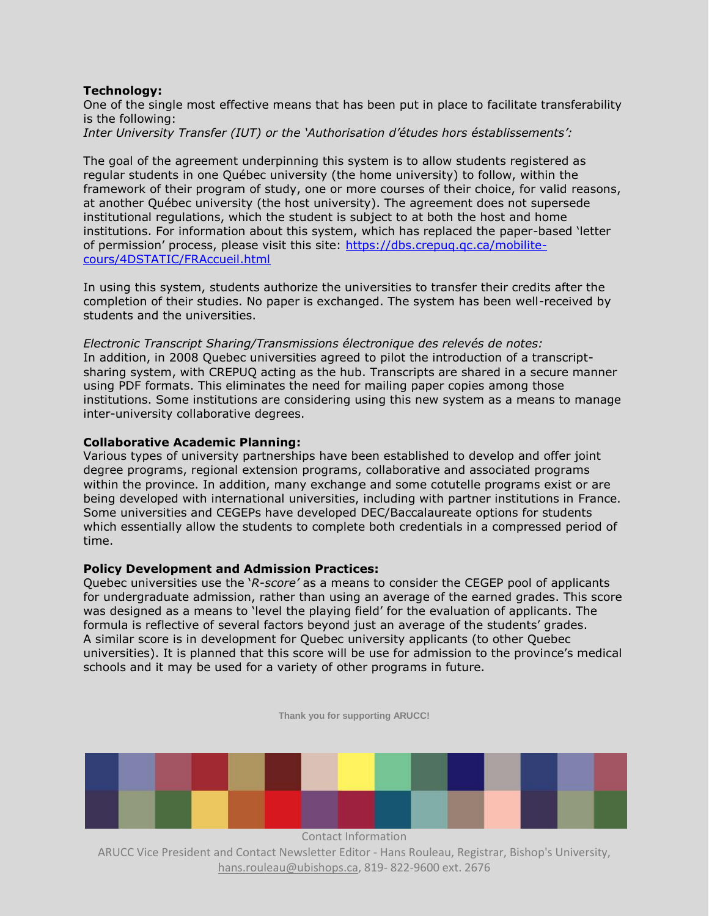#### **Technology:**

One of the single most effective means that has been put in place to facilitate transferability is the following: *Inter University Transfer (IUT) or the 'Authorisation d'études hors éstablissements':* 

The goal of the agreement underpinning this system is to allow students registered as regular students in one Québec university (the home university) to follow, within the framework of their program of study, one or more courses of their choice, for valid reasons, at another Québec university (the host university). The agreement does not supersede institutional regulations, which the student is subject to at both the host and home institutions. For information about this system, which has replaced the paper-based 'letter of permission' process, please visit this site: [https://dbs.crepuq.qc.ca/mobilite](https://dbs.crepuq.qc.ca/mobilite-cours/4DSTATIC/FRAccueil.html)[cours/4DSTATIC/FRAccueil.html](https://dbs.crepuq.qc.ca/mobilite-cours/4DSTATIC/FRAccueil.html)

In using this system, students authorize the universities to transfer their credits after the completion of their studies. No paper is exchanged. The system has been well-received by students and the universities.

*Electronic Transcript Sharing/Transmissions électronique des relevés de notes:*  In addition, in 2008 Quebec universities agreed to pilot the introduction of a transcriptsharing system, with CREPUQ acting as the hub. Transcripts are shared in a secure manner using PDF formats. This eliminates the need for mailing paper copies among those institutions. Some institutions are considering using this new system as a means to manage inter-university collaborative degrees.

#### **Collaborative Academic Planning:**

Various types of university partnerships have been established to develop and offer joint degree programs, regional extension programs, collaborative and associated programs within the province. In addition, many exchange and some cotutelle programs exist or are being developed with international universities, including with partner institutions in France. Some universities and CEGEPs have developed DEC/Baccalaureate options for students which essentially allow the students to complete both credentials in a compressed period of time.

#### **Policy Development and Admission Practices:**

Quebec universities use the '*R-score'* as a means to consider the CEGEP pool of applicants for undergraduate admission, rather than using an average of the earned grades. This score was designed as a means to 'level the playing field' for the evaluation of applicants. The formula is reflective of several factors beyond just an average of the students' grades. A similar score is in development for Quebec university applicants (to other Quebec universities). It is planned that this score will be use for admission to the province's medical schools and it may be used for a variety of other programs in future.

**Thank you for supporting ARUCC!**



ARUCC Vice President and Contact Newsletter Editor - Hans Rouleau, Registrar, Bishop's University, hans.rouleau@ubishops.ca, 819- 822-9600 ext. 2676